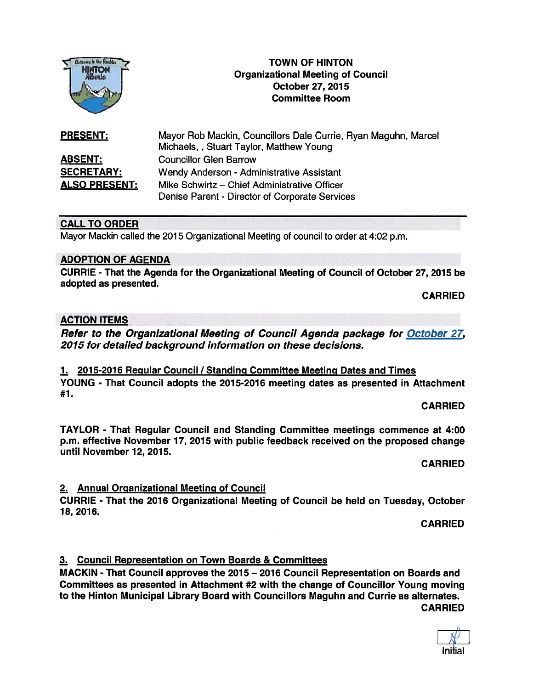

# TOWN OF HINTON Organizational Meeting of Council<br>October 27, 2015 Committee Room

| <b>PRESENT:</b>      | Mayor Rob Mackin, Councillors Dale Currie, Ryan Maguhn, Marcel<br>Michaels, , Stuart Taylor, Matthew Young |
|----------------------|------------------------------------------------------------------------------------------------------------|
| <b>ABSENT:</b>       | <b>Councillor Glen Barrow</b>                                                                              |
| <b>SECRETARY:</b>    | Wendy Anderson - Administrative Assistant                                                                  |
| <b>ALSO PRESENT:</b> | Mike Schwirtz - Chief Administrative Officer                                                               |
|                      | Denise Parent - Director of Corporate Services                                                             |

# CALL TO ORDER

Mayor Mackin called the 2015 Organizational Meeting of council to order at 4:02 p.m.

#### ADOPTION OF AGENDA

CURRIE - That the Agenda for the Organizational Meeting of Council of October 27, 2015 be adopted as presented.

CARRIED

# ACTION ITEMS

Refer to the Organizational Meeting of Council Agenda package for October 27, 2015 for detailed background information on these decisions.

1. 2015-2016 Regular Council/Standing Committee Meeting Dates and Times YOUNG - That Council adopts the 2015-2016 meeting dates as presented in Attachment #7.

CARRIED

TAYLOR - That Regular Council and Standing Committee meetings commence at 4:00 p.m. effective November 17, 2015 with public feedback received on the proposed change until November 12, 2015.

CARRIED

#### 2. Annual Organizational Meeting of Council

CURRIE - That the 2016 Organizational Meeting of Council be held on Tuesday, October 18, 2016.

CARRIED

# 3. Council Representation on Town Boards & Committees

MACKIN - That Council approves the 2015 — 2016 Council Representation on Boards and Committees as presented in Attachment #2 with the change of Councillor Young moving to the Hinton Municipal Library Board with Councillors Maguhn and Currie as alternates. CARRIED